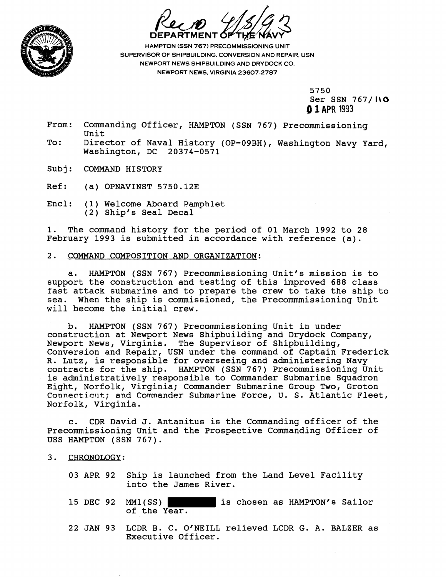

**HAMPTON (SSN 767) PRECOMMISSIONING UNIT** SUPERVISOR OF SHIPBUILDING. CONVERSION AND REPAIR. USN NEWPORT NEWS SHIPBUILDING AND DRYDOCK CO. NEWPORT NEWS, VIRGINIA **23607-2787** 

5750

Ser SSN 767/10 **,O 1 APR 1993** 

- From: Commanding Officer, HAMPTON (SSN 767) Precommissioning Unit
- To: Director of Naval History (OP-09BH), Washington Navy Yard, washington, DC 20374-0571
- Subj: COMMAND HISTORY

Ref: (a) OPNAVINST 5750.12E

Encl: (1) Welcome Aboard Pamphlet (2) Ship's Seal Decal

1. The command history for the period of 01 March 1992 to 28 February 1993 is submitted in accordance with reference (a).

## 2. COMMAND COMPOSITION AND ORGANIZATION:

a. HAMPTON (SSN 767) Precommissioning Unit's mission is to support the construction and testing of this improved 688 class fast attack submarine and to prepare the crew to take the ship to sea. When the ship is commissioned, the Precommmissioning Unit will become the initial crew.

b. HAMPTON (SSN 767) Precommissioning Unit in under construction at Newport News Shipbuilding and Drydock Company, Newport News, Virginia. The Supervisor of Shipbuilding, Conversion and Repair, USN under the command of Captain Frederick R. Lutz, is responsible for overseeing and administering Navy contracts for the ship. HAMPTON (SSN 767) Precommissioning Unit is administratively responsible to Commander Submarine Squadron Eight, Norfolk, Virginia; Commander Submarine Group Two, Groton Connecticut; and Commander Submarine Force, U. S. Atlantic Fleet. Norfolk, Virginia.

c. CDR David J. Antanitus is the Commanding officer of the Precommissioning Unit and the Prospective Commanding Officer of USS HAMPTON (SSN 767).

- 3. CHRONOLOGY:
	- 03 APR 92 Ship is launched from the Land Level Facility into the James River.
	- 15 DEC 92 MM1(SS) is chosen as HAMPTON's Sailor of the Year.
	- 22 JAN 93 LCDR B. C. O'NEILL relieved LCDR G. A. BALZER as Executive Officer.